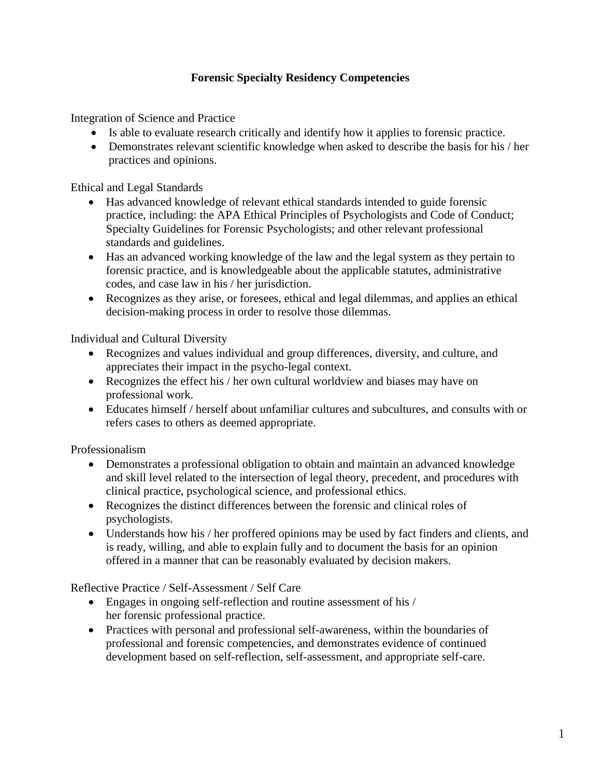# **Forensic Specialty Residency Competencies**

Integration of Science and Practice

- Is able to evaluate research critically and identify how it applies to forensic practice.
- Demonstrates relevant scientific knowledge when asked to describe the basis for his / her practices and opinions.

Ethical and Legal Standards

- Has advanced knowledge of relevant ethical standards intended to guide forensic practice, including: the APA Ethical Principles of Psychologists and Code of Conduct; Specialty Guidelines for Forensic Psychologists; and other relevant professional standards and guidelines.
- Has an advanced working knowledge of the law and the legal system as they pertain to forensic practice, and is knowledgeable about the applicable statutes, administrative codes, and case law in his / her jurisdiction.
- Recognizes as they arise, or foresees, ethical and legal dilemmas, and applies an ethical decision-making process in order to resolve those dilemmas.

Individual and Cultural Diversity

- Recognizes and values individual and group differences, diversity, and culture, and appreciates their impact in the psycho-legal context.
- Recognizes the effect his / her own cultural worldview and biases may have on professional work.
- Educates himself / herself about unfamiliar cultures and subcultures, and consults with or refers cases to others as deemed appropriate.

Professionalism

- Demonstrates a professional obligation to obtain and maintain an advanced knowledge and skill level related to the intersection of legal theory, precedent, and procedures with clinical practice, psychological science, and professional ethics.
- Recognizes the distinct differences between the forensic and clinical roles of psychologists.
- Understands how his / her proffered opinions may be used by fact finders and clients, and is ready, willing, and able to explain fully and to document the basis for an opinion offered in a manner that can be reasonably evaluated by decision makers.

Reflective Practice / Self-Assessment / Self Care

- Engages in ongoing self-reflection and routine assessment of his / her forensic professional practice.
- Practices with personal and professional self-awareness, within the boundaries of professional and forensic competencies, and demonstrates evidence of continued development based on self-reflection, self-assessment, and appropriate self-care.